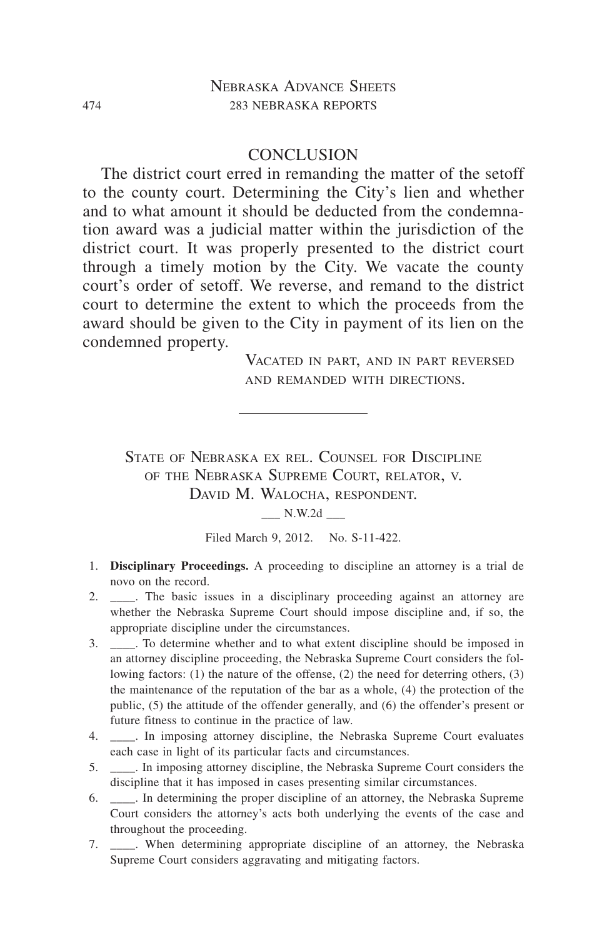## **CONCLUSION**

The district court erred in remanding the matter of the setoff to the county court. Determining the City's lien and whether and to what amount it should be deducted from the condemnation award was a judicial matter within the jurisdiction of the district court. It was properly presented to the district court through a timely motion by the City. We vacate the county court's order of setoff. We reverse, and remand to the district court to determine the extent to which the proceeds from the award should be given to the City in payment of its lien on the condemned property.

> Vacated in part, and in part reversed and remanded with directions.

State of Nebraska ex rel. Counsel for Discipline of the Nebraska Supreme Court, relator, v. DAVID M. WALOCHA, RESPONDENT.

\_\_\_ N.W.2d \_\_\_

Filed March 9, 2012. No. S-11-422.

- 1. **Disciplinary Proceedings.** A proceeding to discipline an attorney is a trial de novo on the record.
- 2. \_\_\_\_\_. The basic issues in a disciplinary proceeding against an attorney are whether the Nebraska Supreme Court should impose discipline and, if so, the appropriate discipline under the circumstances.
- 3. \_\_\_\_. To determine whether and to what extent discipline should be imposed in an attorney discipline proceeding, the Nebraska Supreme Court considers the following factors: (1) the nature of the offense, (2) the need for deterring others, (3) the maintenance of the reputation of the bar as a whole, (4) the protection of the public, (5) the attitude of the offender generally, and (6) the offender's present or future fitness to continue in the practice of law.
- 4. \_\_\_\_\_. In imposing attorney discipline, the Nebraska Supreme Court evaluates each case in light of its particular facts and circumstances.
- 5. \_\_\_\_. In imposing attorney discipline, the Nebraska Supreme Court considers the discipline that it has imposed in cases presenting similar circumstances.
- 6. \_\_\_\_. In determining the proper discipline of an attorney, the Nebraska Supreme Court considers the attorney's acts both underlying the events of the case and throughout the proceeding.
- 7. \_\_\_\_. When determining appropriate discipline of an attorney, the Nebraska Supreme Court considers aggravating and mitigating factors.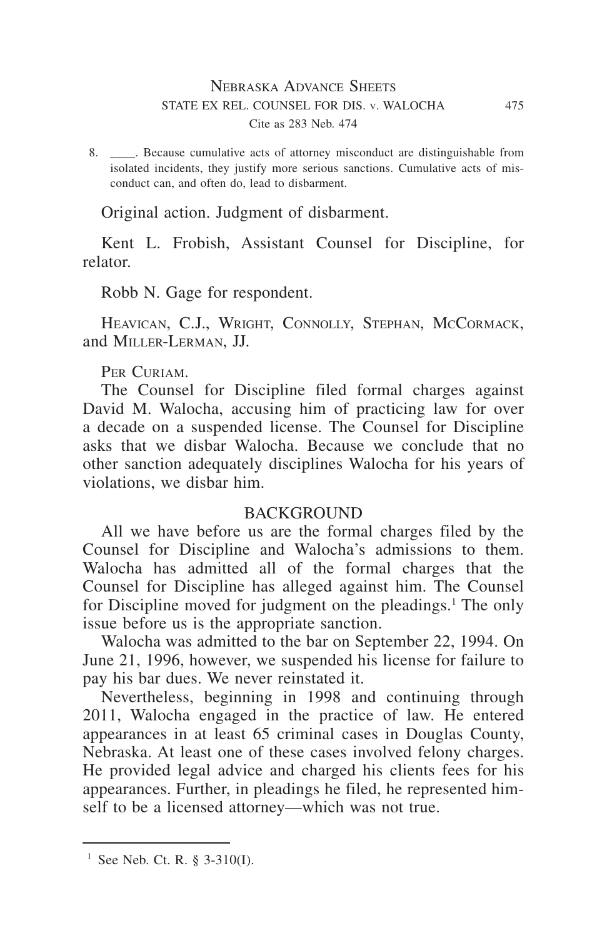8. Because cumulative acts of attorney misconduct are distinguishable from isolated incidents, they justify more serious sanctions. Cumulative acts of misconduct can, and often do, lead to disbarment.

Original action. Judgment of disbarment.

Kent L. Frobish, Assistant Counsel for Discipline, for relator.

Robb N. Gage for respondent.

HEAVICAN, C.J., WRIGHT, CONNOLLY, STEPHAN, MCCORMACK, and Miller-Lerman, JJ.

PER CURIAM.

The Counsel for Discipline filed formal charges against David M. Walocha, accusing him of practicing law for over a decade on a suspended license. The Counsel for Discipline asks that we disbar Walocha. Because we conclude that no other sanction adequately disciplines Walocha for his years of violations, we disbar him.

## BACKGROUND

All we have before us are the formal charges filed by the Counsel for Discipline and Walocha's admissions to them. Walocha has admitted all of the formal charges that the Counsel for Discipline has alleged against him. The Counsel for Discipline moved for judgment on the pleadings.<sup>1</sup> The only issue before us is the appropriate sanction.

Walocha was admitted to the bar on September 22, 1994. On June 21, 1996, however, we suspended his license for failure to pay his bar dues. We never reinstated it.

Nevertheless, beginning in 1998 and continuing through 2011, Walocha engaged in the practice of law. He entered appearances in at least 65 criminal cases in Douglas County, Nebraska. At least one of these cases involved felony charges. He provided legal advice and charged his clients fees for his appearances. Further, in pleadings he filed, he represented himself to be a licensed attorney—which was not true.

<sup>&</sup>lt;sup>1</sup> See Neb. Ct. R. § 3-310(I).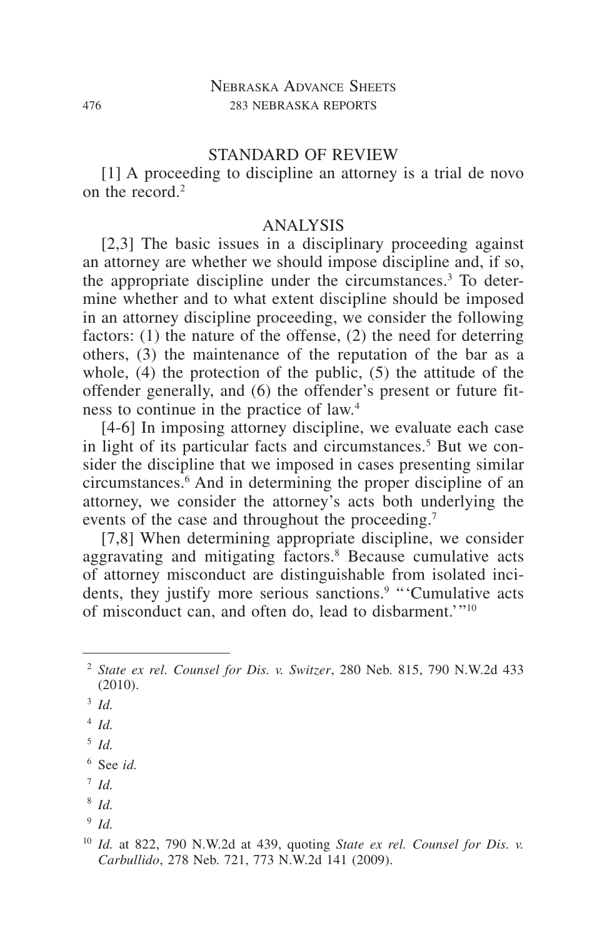## STANDARD OF REVIEW

[1] A proceeding to discipline an attorney is a trial de novo on the record  $2$ 

## ANALYSIS

[2,3] The basic issues in a disciplinary proceeding against an attorney are whether we should impose discipline and, if so, the appropriate discipline under the circumstances.<sup>3</sup> To determine whether and to what extent discipline should be imposed in an attorney discipline proceeding, we consider the following factors: (1) the nature of the offense, (2) the need for deterring others, (3) the maintenance of the reputation of the bar as a whole, (4) the protection of the public, (5) the attitude of the offender generally, and (6) the offender's present or future fitness to continue in the practice of law.4

[4-6] In imposing attorney discipline, we evaluate each case in light of its particular facts and circumstances.<sup>5</sup> But we consider the discipline that we imposed in cases presenting similar circumstances.6 And in determining the proper discipline of an attorney, we consider the attorney's acts both underlying the events of the case and throughout the proceeding.<sup>7</sup>

[7,8] When determining appropriate discipline, we consider aggravating and mitigating factors.<sup>8</sup> Because cumulative acts of attorney misconduct are distinguishable from isolated incidents, they justify more serious sanctions.<sup>9</sup> "Cumulative acts of misconduct can, and often do, lead to disbarment.'"10

- <sup>7</sup> *Id.*
- <sup>8</sup> *Id.*
- <sup>9</sup> *Id.*

<sup>2</sup> *State ex rel. Counsel for Dis. v. Switzer*, 280 Neb. 815, 790 N.W.2d 433 (2010).

<sup>3</sup> *Id.*

<sup>4</sup> *Id.*

<sup>5</sup> *Id.*

<sup>6</sup> See *id.*

<sup>10</sup> *Id.* at 822, 790 N.W.2d at 439, quoting *State ex rel. Counsel for Dis. v. Carbullido*, 278 Neb. 721, 773 N.W.2d 141 (2009).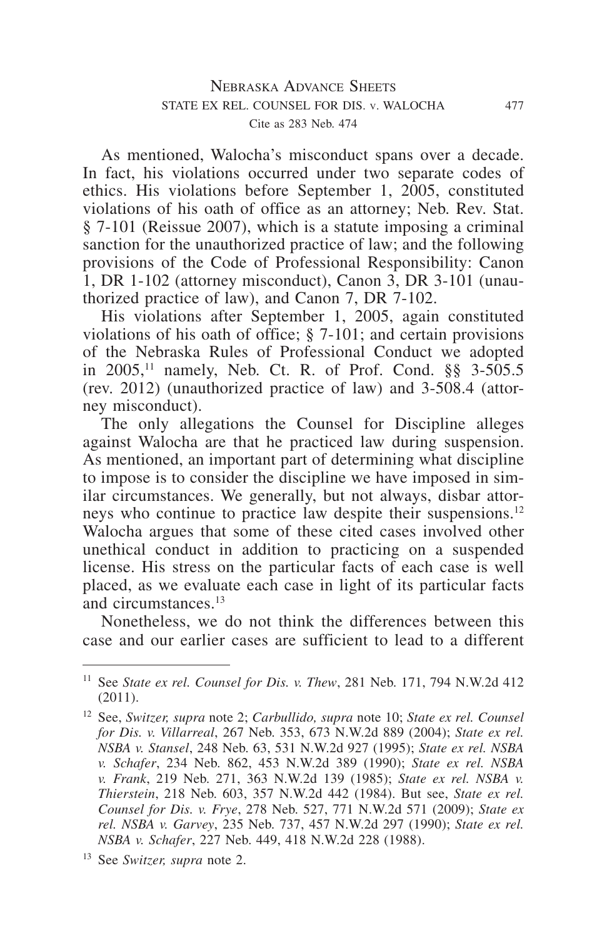As mentioned, Walocha's misconduct spans over a decade. In fact, his violations occurred under two separate codes of ethics. His violations before September 1, 2005, constituted violations of his oath of office as an attorney; Neb. Rev. Stat. § 7-101 (Reissue 2007), which is a statute imposing a criminal sanction for the unauthorized practice of law; and the following provisions of the Code of Professional Responsibility: Canon 1, DR 1-102 (attorney misconduct), Canon 3, DR 3-101 (unauthorized practice of law), and Canon 7, DR 7-102.

His violations after September 1, 2005, again constituted violations of his oath of office; § 7-101; and certain provisions of the Nebraska Rules of Professional Conduct we adopted in 2005,11 namely, Neb. Ct. R. of Prof. Cond. §§ 3-505.5 (rev. 2012) (unauthorized practice of law) and 3-508.4 (attorney misconduct).

The only allegations the Counsel for Discipline alleges against Walocha are that he practiced law during suspension. As mentioned, an important part of determining what discipline to impose is to consider the discipline we have imposed in similar circumstances. We generally, but not always, disbar attorneys who continue to practice law despite their suspensions.<sup>12</sup> Walocha argues that some of these cited cases involved other unethical conduct in addition to practicing on a suspended license. His stress on the particular facts of each case is well placed, as we evaluate each case in light of its particular facts and circumstances.<sup>13</sup>

Nonetheless, we do not think the differences between this case and our earlier cases are sufficient to lead to a different

<sup>11</sup> See *State ex rel. Counsel for Dis. v. Thew*, 281 Neb. 171, 794 N.W.2d 412 (2011).

<sup>12</sup> See, *Switzer, supra* note 2; *Carbullido, supra* note 10; *State ex rel. Counsel for Dis. v. Villarreal*, 267 Neb. 353, 673 N.W.2d 889 (2004); *State ex rel. NSBA v. Stansel*, 248 Neb. 63, 531 N.W.2d 927 (1995); *State ex rel. NSBA v. Schafer*, 234 Neb. 862, 453 N.W.2d 389 (1990); *State ex rel. NSBA v. Frank*, 219 Neb. 271, 363 N.W.2d 139 (1985); *State ex rel. NSBA v. Thierstein*, 218 Neb. 603, 357 N.W.2d 442 (1984). But see, *State ex rel. Counsel for Dis. v. Frye*, 278 Neb. 527, 771 N.W.2d 571 (2009); *State ex rel. NSBA v. Garvey*, 235 Neb. 737, 457 N.W.2d 297 (1990); *State ex rel. NSBA v. Schafer*, 227 Neb. 449, 418 N.W.2d 228 (1988).

<sup>13</sup> See *Switzer, supra* note 2.